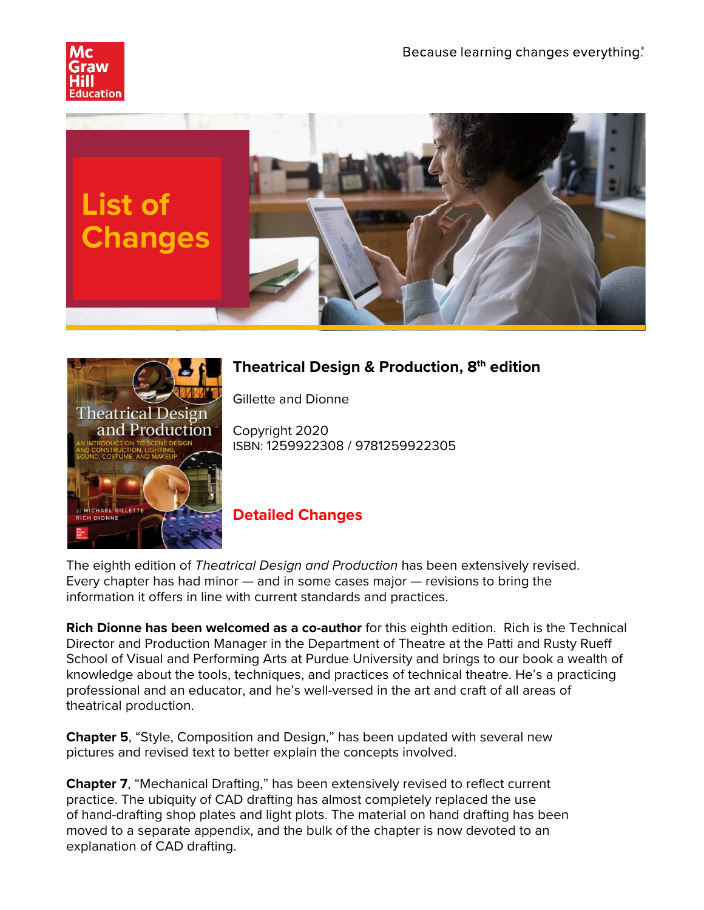





## **Theatrical Design & Production, 8th edition**

Gillette and Dionne

Copyright 2020 ISBN: 1259922308 / 9781259922305

## **Detailed Changes**

The eighth edition of *Theatrical Design and Production* has been extensively revised. Every chapter has had minor — and in some cases major — revisions to bring the information it offers in line with current standards and practices.

**Rich Dionne has been welcomed as a co-author** for this eighth edition. Rich is the Technical Director and Production Manager in the Department of Theatre at the Patti and Rusty Rueff School of Visual and Performing Arts at Purdue University and brings to our book a wealth of knowledge about the tools, techniques, and practices of technical theatre. He's a practicing professional and an educator, and he's well-versed in the art and craft of all areas of theatrical production.

**Chapter 5**, "Style, Composition and Design," has been updated with several new pictures and revised text to better explain the concepts involved.

**Chapter 7**, "Mechanical Drafting," has been extensively revised to reflect current practice. The ubiquity of CAD drafting has almost completely replaced the use of hand-drafting shop plates and light plots. The material on hand drafting has been moved to a separate appendix, and the bulk of the chapter is now devoted to an explanation of CAD drafting.